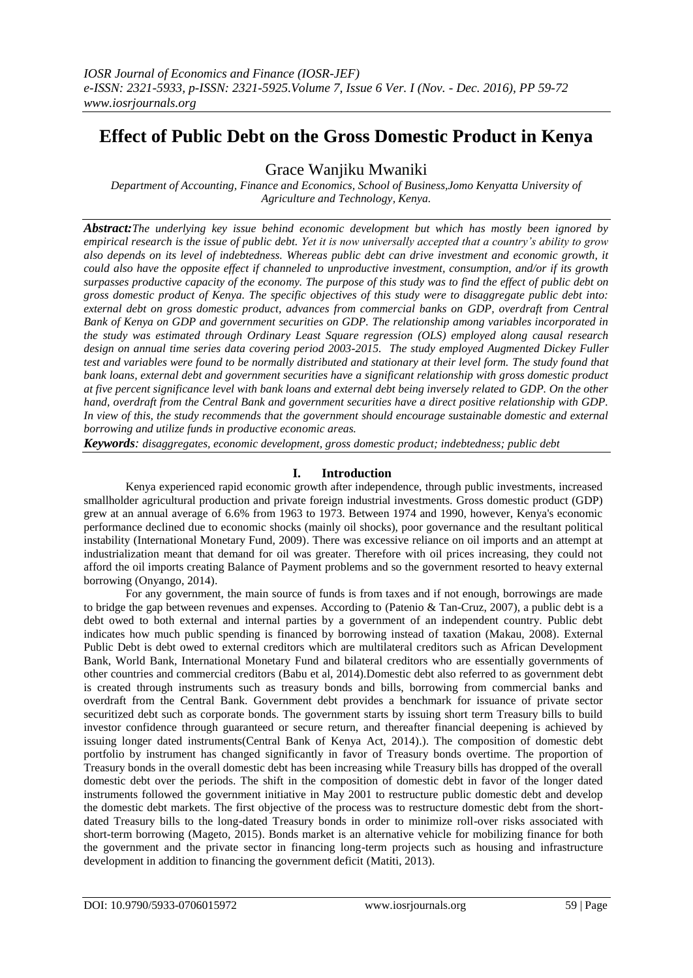# **Effect of Public Debt on the Gross Domestic Product in Kenya**

Grace Wanjiku Mwaniki

*Department of Accounting, Finance and Economics, School of Business,Jomo Kenyatta University of Agriculture and Technology, Kenya.*

*Abstract:The underlying key issue behind economic development but which has mostly been ignored by empirical research is the issue of public debt. Yet it is now universally accepted that a country's ability to grow also depends on its level of indebtedness. Whereas public debt can drive investment and economic growth, it could also have the opposite effect if channeled to unproductive investment, consumption, and/or if its growth surpasses productive capacity of the economy. The purpose of this study was to find the effect of public debt on gross domestic product of Kenya. The specific objectives of this study were to disaggregate public debt into: external debt on gross domestic product, advances from commercial banks on GDP, overdraft from Central Bank of Kenya on GDP and government securities on GDP. The relationship among variables incorporated in the study was estimated through Ordinary Least Square regression (OLS) employed along causal research design on annual time series data covering period 2003-2015. The study employed Augmented Dickey Fuller test and variables were found to be normally distributed and stationary at their level form. The study found that bank loans, external debt and government securities have a significant relationship with gross domestic product at five percent significance level with bank loans and external debt being inversely related to GDP. On the other hand, overdraft from the Central Bank and government securities have a direct positive relationship with GDP. In view of this, the study recommends that the government should encourage sustainable domestic and external borrowing and utilize funds in productive economic areas.* 

*Keywords: disaggregates, economic development, gross domestic product; indebtedness; public debt*

# **I. Introduction**

Kenya experienced rapid economic growth after independence, through public investments, increased smallholder agricultural production and private foreign industrial investments. Gross domestic product (GDP) grew at an annual average of 6.6% from 1963 to 1973. Between 1974 and 1990, however, Kenya's economic performance declined due to economic shocks (mainly oil shocks), poor governance and the resultant political instability (International Monetary Fund, 2009). There was excessive reliance on oil imports and an attempt at industrialization meant that demand for oil was greater. Therefore with oil prices increasing, they could not afford the oil imports creating Balance of Payment problems and so the government resorted to heavy external borrowing (Onyango, 2014).

For any government, the main source of funds is from taxes and if not enough, borrowings are made to bridge the gap between revenues and expenses. According to (Patenio & Tan-Cruz, 2007), a public debt is a debt owed to both external and internal parties by a government of an independent country. Public debt indicates how much public spending is financed by borrowing instead of taxation (Makau, 2008). External Public Debt is debt owed to external creditors which are multilateral creditors such as African Development Bank, World Bank, International Monetary Fund and bilateral creditors who are essentially governments of other countries and commercial creditors (Babu et al, 2014).Domestic debt also referred to as government debt is created through instruments such as treasury bonds and bills, borrowing from commercial banks and overdraft from the Central Bank. Government debt provides a benchmark for issuance of private sector securitized debt such as corporate bonds. The government starts by issuing short term Treasury bills to build investor confidence through guaranteed or secure return, and thereafter financial deepening is achieved by issuing longer dated instruments(Central Bank of Kenya Act, 2014).). The composition of domestic debt portfolio by instrument has changed significantly in favor of Treasury bonds overtime. The proportion of Treasury bonds in the overall domestic debt has been increasing while Treasury bills has dropped of the overall domestic debt over the periods. The shift in the composition of domestic debt in favor of the longer dated instruments followed the government initiative in May 2001 to restructure public domestic debt and develop the domestic debt markets. The first objective of the process was to restructure domestic debt from the shortdated Treasury bills to the long-dated Treasury bonds in order to minimize roll-over risks associated with short-term borrowing (Mageto, 2015). Bonds market is an alternative vehicle for mobilizing finance for both the government and the private sector in financing long-term projects such as housing and infrastructure development in addition to financing the government deficit (Matiti, 2013).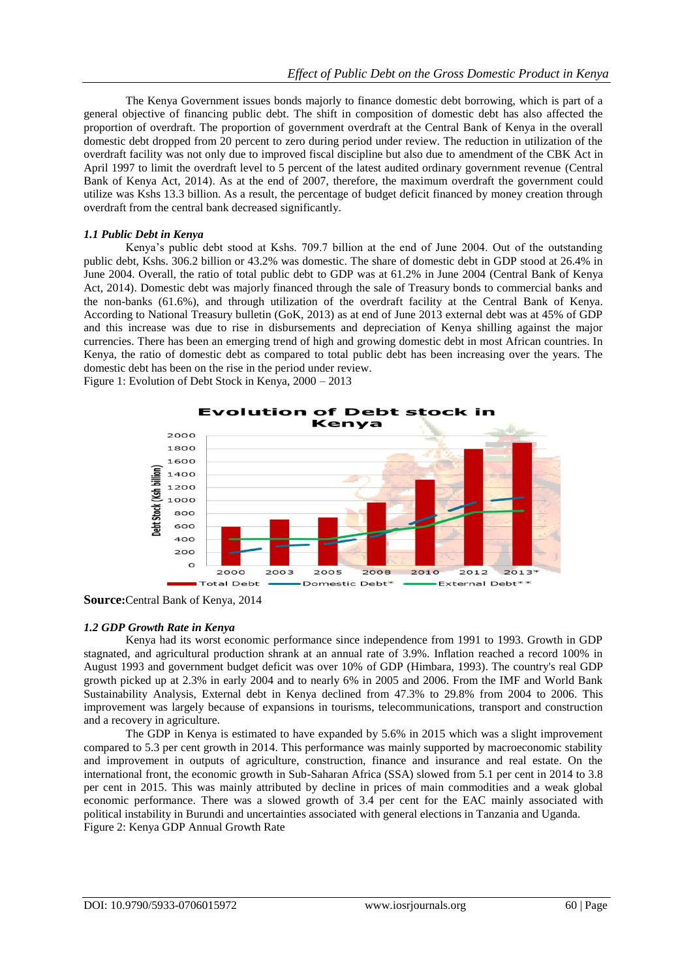The Kenya Government issues bonds majorly to finance domestic debt borrowing, which is part of a general objective of financing public debt. The shift in composition of domestic debt has also affected the proportion of overdraft. The proportion of government overdraft at the Central Bank of Kenya in the overall domestic debt dropped from 20 percent to zero during period under review. The reduction in utilization of the overdraft facility was not only due to improved fiscal discipline but also due to amendment of the CBK Act in April 1997 to limit the overdraft level to 5 percent of the latest audited ordinary government revenue (Central Bank of Kenya Act, 2014). As at the end of 2007, therefore, the maximum overdraft the government could utilize was Kshs 13.3 billion. As a result, the percentage of budget deficit financed by money creation through overdraft from the central bank decreased significantly.

#### *1.1 Public Debt in Kenya*

Kenya"s public debt stood at Kshs. 709.7 billion at the end of June 2004. Out of the outstanding public debt, Kshs. 306.2 billion or 43.2% was domestic. The share of domestic debt in GDP stood at 26.4% in June 2004. Overall, the ratio of total public debt to GDP was at 61.2% in June 2004 (Central Bank of Kenya Act, 2014). Domestic debt was majorly financed through the sale of Treasury bonds to commercial banks and the non-banks (61.6%), and through utilization of the overdraft facility at the Central Bank of Kenya. According to National Treasury bulletin (GoK, 2013) as at end of June 2013 external debt was at 45% of GDP and this increase was due to rise in disbursements and depreciation of Kenya shilling against the major currencies. There has been an emerging trend of high and growing domestic debt in most African countries. In Kenya, the ratio of domestic debt as compared to total public debt has been increasing over the years. The domestic debt has been on the rise in the period under review. Figure 1: Evolution of Debt Stock in Kenya, 2000 – 2013



**Source:**Central Bank of Kenya, 2014

#### *1.2 GDP Growth Rate in Kenya*

Kenya had its worst economic performance since independence from 1991 to 1993. Growth in GDP stagnated, and agricultural production shrank at an annual rate of 3.9%. Inflation reached a record 100% in August 1993 and government budget deficit was over 10% of GDP (Himbara, 1993). The country's real GDP growth picked up at 2.3% in early 2004 and to nearly 6% in 2005 and 2006. From the IMF and World Bank Sustainability Analysis, External debt in Kenya declined from 47.3% to 29.8% from 2004 to 2006. This improvement was largely because of expansions in tourisms, telecommunications, transport and construction and a recovery in agriculture.

The GDP in Kenya is estimated to have expanded by 5.6% in 2015 which was a slight improvement compared to 5.3 per cent growth in 2014. This performance was mainly supported by macroeconomic stability and improvement in outputs of agriculture, construction, finance and insurance and real estate. On the international front, the economic growth in Sub-Saharan Africa (SSA) slowed from 5.1 per cent in 2014 to 3.8 per cent in 2015. This was mainly attributed by decline in prices of main commodities and a weak global economic performance. There was a slowed growth of 3.4 per cent for the EAC mainly associated with political instability in Burundi and uncertainties associated with general elections in Tanzania and Uganda. Figure 2: Kenya GDP Annual Growth Rate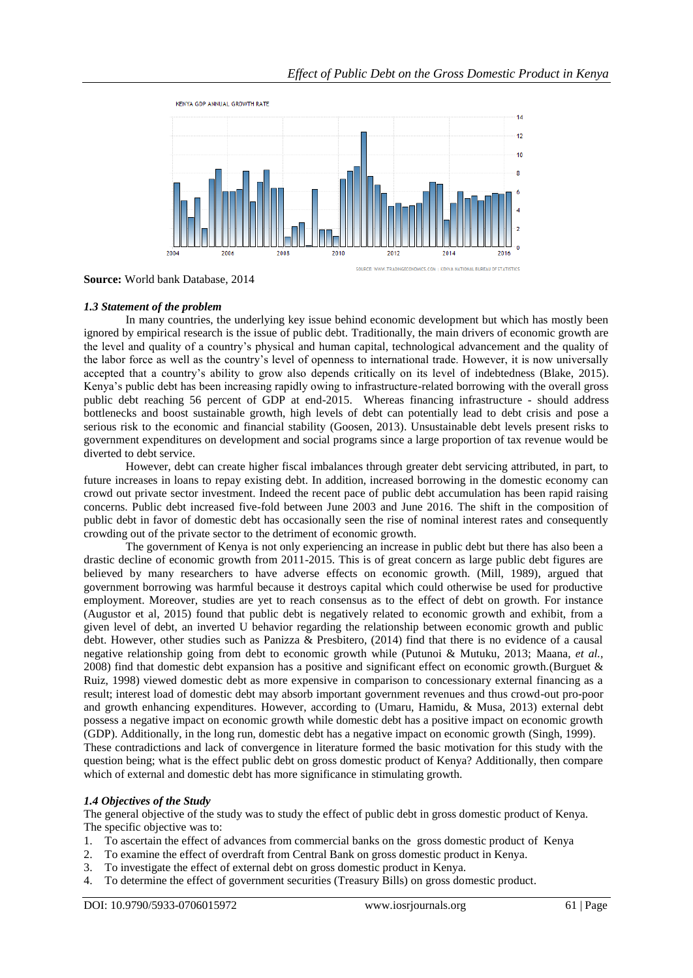

**Source:** World bank Database, 2014

## *1.3 Statement of the problem*

In many countries, the underlying key issue behind economic development but which has mostly been ignored by empirical research is the issue of public debt. Traditionally, the main drivers of economic growth are the level and quality of a country"s physical and human capital, technological advancement and the quality of the labor force as well as the country"s level of openness to international trade. However, it is now universally accepted that a country"s ability to grow also depends critically on its level of indebtedness (Blake, 2015). Kenya"s public debt has been increasing rapidly owing to infrastructure-related borrowing with the overall gross public debt reaching 56 percent of GDP at end-2015. Whereas financing infrastructure - should address bottlenecks and boost sustainable growth, high levels of debt can potentially lead to debt crisis and pose a serious risk to the economic and financial stability (Goosen, 2013). Unsustainable debt levels present risks to government expenditures on development and social programs since a large proportion of tax revenue would be diverted to debt service.

However, debt can create higher fiscal imbalances through greater debt servicing attributed, in part, to future increases in loans to repay existing debt. In addition, increased borrowing in the domestic economy can crowd out private sector investment. Indeed the recent pace of public debt accumulation has been rapid raising concerns. Public debt increased five-fold between June 2003 and June 2016. The shift in the composition of public debt in favor of domestic debt has occasionally seen the rise of nominal interest rates and consequently crowding out of the private sector to the detriment of economic growth.

The government of Kenya is not only experiencing an increase in public debt but there has also been a drastic decline of economic growth from 2011-2015. This is of great concern as large public debt figures are believed by many researchers to have adverse effects on economic growth. (Mill, 1989), argued that government borrowing was harmful because it destroys capital which could otherwise be used for productive employment. Moreover, studies are yet to reach consensus as to the effect of debt on growth. For instance (Augustor et al, 2015) found that public debt is negatively related to economic growth and exhibit, from a given level of debt, an inverted U behavior regarding the relationship between economic growth and public debt. However, other studies such as Panizza & Presbitero, (2014) find that there is no evidence of a causal negative relationship going from debt to economic growth while (Putunoi & Mutuku, 2013; Maana, *et al.,* 2008) find that domestic debt expansion has a positive and significant effect on economic growth.(Burguet & Ruiz, 1998) viewed domestic debt as more expensive in comparison to concessionary external financing as a result; interest load of domestic debt may absorb important government revenues and thus crowd-out pro-poor and growth enhancing expenditures. However, according to (Umaru, Hamidu, & Musa, 2013) external debt possess a negative impact on economic growth while domestic debt has a positive impact on economic growth (GDP). Additionally, in the long run, domestic debt has a negative impact on economic growth (Singh, 1999). These contradictions and lack of convergence in literature formed the basic motivation for this study with the question being; what is the effect public debt on gross domestic product of Kenya? Additionally, then compare which of external and domestic debt has more significance in stimulating growth.

# *1.4 Objectives of the Study*

The general objective of the study was to study the effect of public debt in gross domestic product of Kenya. The specific objective was to:

- 1. To ascertain the effect of advances from commercial banks on the gross domestic product of Kenya
- 2. To examine the effect of overdraft from Central Bank on gross domestic product in Kenya.
- 3. To investigate the effect of external debt on gross domestic product in Kenya.
- 4. To determine the effect of government securities (Treasury Bills) on gross domestic product.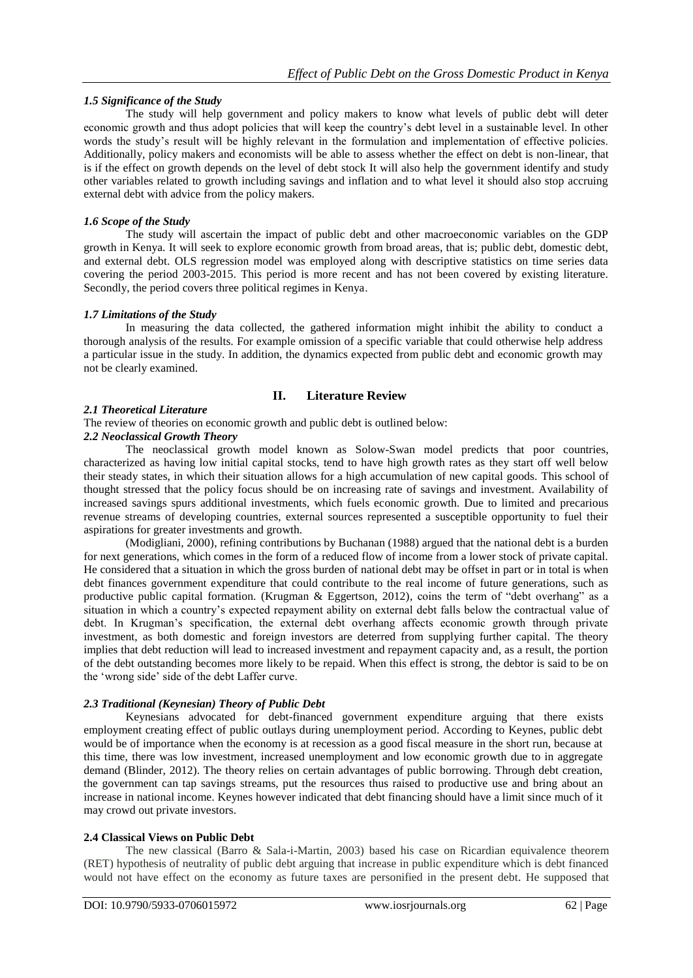## *1.5 Significance of the Study*

The study will help government and policy makers to know what levels of public debt will deter economic growth and thus adopt policies that will keep the country"s debt level in a sustainable level. In other words the study"s result will be highly relevant in the formulation and implementation of effective policies. Additionally, policy makers and economists will be able to assess whether the effect on debt is non-linear, that is if the effect on growth depends on the level of debt stock It will also help the government identify and study other variables related to growth including savings and inflation and to what level it should also stop accruing external debt with advice from the policy makers.

## *1.6 Scope of the Study*

The study will ascertain the impact of public debt and other macroeconomic variables on the GDP growth in Kenya. It will seek to explore economic growth from broad areas, that is; public debt, domestic debt, and external debt. OLS regression model was employed along with descriptive statistics on time series data covering the period 2003-2015. This period is more recent and has not been covered by existing literature. Secondly, the period covers three political regimes in Kenya.

#### *1.7 Limitations of the Study*

In measuring the data collected, the gathered information might inhibit the ability to conduct a thorough analysis of the results. For example omission of a specific variable that could otherwise help address a particular issue in the study. In addition, the dynamics expected from public debt and economic growth may not be clearly examined.

# **II. Literature Review**

## *2.1 Theoretical Literature*

The review of theories on economic growth and public debt is outlined below:

## *2.2 Neoclassical Growth Theory*

The neoclassical growth model known as Solow-Swan model predicts that poor countries, characterized as having low initial capital stocks, tend to have high growth rates as they start off well below their steady states, in which their situation allows for a high accumulation of new capital goods. This school of thought stressed that the policy focus should be on increasing rate of savings and investment. Availability of increased savings spurs additional investments, which fuels economic growth. Due to limited and precarious revenue streams of developing countries, external sources represented a susceptible opportunity to fuel their aspirations for greater investments and growth.

(Modigliani, 2000), refining contributions by Buchanan (1988) argued that the national debt is a burden for next generations, which comes in the form of a reduced flow of income from a lower stock of private capital. He considered that a situation in which the gross burden of national debt may be offset in part or in total is when debt finances government expenditure that could contribute to the real income of future generations, such as productive public capital formation. (Krugman & Eggertson, 2012), coins the term of "debt overhang" as a situation in which a country"s expected repayment ability on external debt falls below the contractual value of debt. In Krugman's specification, the external debt overhang affects economic growth through private investment, as both domestic and foreign investors are deterred from supplying further capital. The theory implies that debt reduction will lead to increased investment and repayment capacity and, as a result, the portion of the debt outstanding becomes more likely to be repaid. When this effect is strong, the debtor is said to be on the "wrong side" side of the debt Laffer curve.

## *2.3 Traditional (Keynesian) Theory of Public Debt*

Keynesians advocated for debt-financed government expenditure arguing that there exists employment creating effect of public outlays during unemployment period. According to Keynes, public debt would be of importance when the economy is at recession as a good fiscal measure in the short run, because at this time, there was low investment, increased unemployment and low economic growth due to in aggregate demand (Blinder, 2012). The theory relies on certain advantages of public borrowing. Through debt creation, the government can tap savings streams, put the resources thus raised to productive use and bring about an increase in national income. Keynes however indicated that debt financing should have a limit since much of it may crowd out private investors.

#### **2.4 Classical Views on Public Debt**

The new classical (Barro & Sala-i-Martin, 2003) based his case on Ricardian equivalence theorem (RET) hypothesis of neutrality of public debt arguing that increase in public expenditure which is debt financed would not have effect on the economy as future taxes are personified in the present debt. He supposed that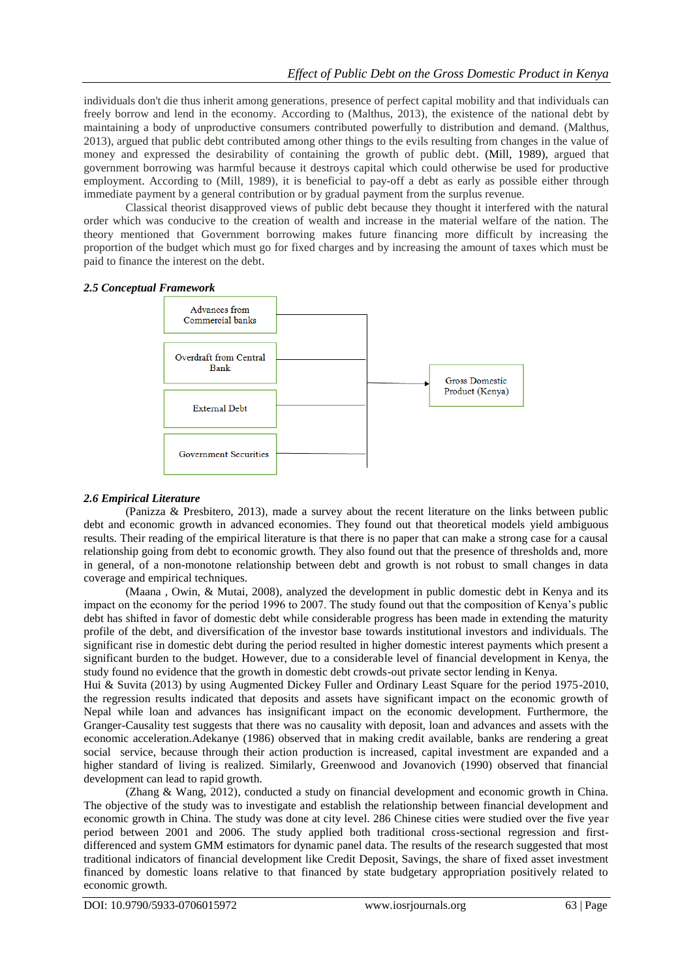individuals don't die thus inherit among generations, presence of perfect capital mobility and that individuals can freely borrow and lend in the economy. According to (Malthus, 2013), the existence of the national debt by maintaining a body of unproductive consumers contributed powerfully to distribution and demand. (Malthus, 2013), argued that public debt contributed among other things to the evils resulting from changes in the value of money and expressed the desirability of containing the growth of public debt. (Mill, 1989), argued that government borrowing was harmful because it destroys capital which could otherwise be used for productive employment. According to (Mill, 1989), it is beneficial to pay-off a debt as early as possible either through immediate payment by a general contribution or by gradual payment from the surplus revenue.

Classical theorist disapproved views of public debt because they thought it interfered with the natural order which was conducive to the creation of wealth and increase in the material welfare of the nation. The theory mentioned that Government borrowing makes future financing more difficult by increasing the proportion of the budget which must go for fixed charges and by increasing the amount of taxes which must be paid to finance the interest on the debt.

#### *2.5 Conceptual Framework*



#### *2.6 Empirical Literature*

(Panizza & Presbitero, 2013), made a survey about the recent literature on the links between public debt and economic growth in advanced economies. They found out that theoretical models yield ambiguous results. Their reading of the empirical literature is that there is no paper that can make a strong case for a causal relationship going from debt to economic growth. They also found out that the presence of thresholds and, more in general, of a non-monotone relationship between debt and growth is not robust to small changes in data coverage and empirical techniques.

(Maana , Owin, & Mutai, 2008), analyzed the development in public domestic debt in Kenya and its impact on the economy for the period 1996 to 2007. The study found out that the composition of Kenya"s public debt has shifted in favor of domestic debt while considerable progress has been made in extending the maturity profile of the debt, and diversification of the investor base towards institutional investors and individuals. The significant rise in domestic debt during the period resulted in higher domestic interest payments which present a significant burden to the budget. However, due to a considerable level of financial development in Kenya, the study found no evidence that the growth in domestic debt crowds-out private sector lending in Kenya.

Hui & Suvita (2013) by using Augmented Dickey Fuller and Ordinary Least Square for the period 1975-2010, the regression results indicated that deposits and assets have significant impact on the economic growth of Nepal while loan and advances has insignificant impact on the economic development. Furthermore, the Granger-Causality test suggests that there was no causality with deposit, loan and advances and assets with the economic acceleration.Adekanye (1986) observed that in making credit available, banks are rendering a great social service, because through their action production is increased, capital investment are expanded and a higher standard of living is realized. Similarly, Greenwood and Jovanovich (1990) observed that financial development can lead to rapid growth.

(Zhang & Wang, 2012), conducted a study on financial development and economic growth in China. The objective of the study was to investigate and establish the relationship between financial development and economic growth in China. The study was done at city level. 286 Chinese cities were studied over the five year period between 2001 and 2006. The study applied both traditional cross-sectional regression and firstdifferenced and system GMM estimators for dynamic panel data. The results of the research suggested that most traditional indicators of financial development like Credit Deposit, Savings, the share of fixed asset investment financed by domestic loans relative to that financed by state budgetary appropriation positively related to economic growth.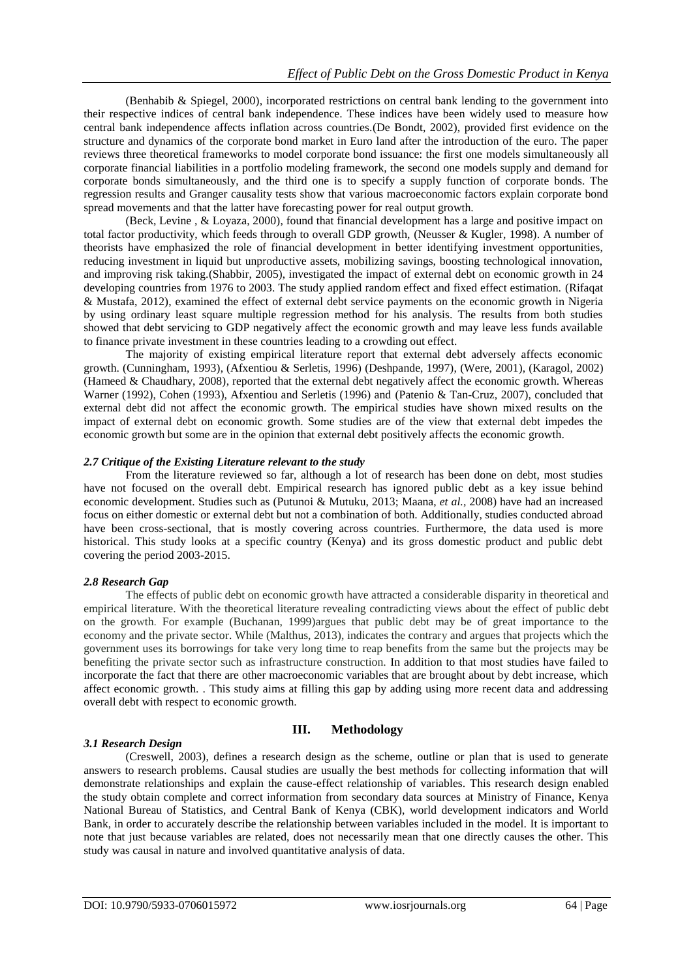(Benhabib & Spiegel, 2000), incorporated restrictions on central bank lending to the government into their respective indices of central bank independence. These indices have been widely used to measure how central bank independence affects inflation across countries.(De Bondt, 2002), provided first evidence on the structure and dynamics of the corporate bond market in Euro land after the introduction of the euro. The paper reviews three theoretical frameworks to model corporate bond issuance: the first one models simultaneously all corporate financial liabilities in a portfolio modeling framework, the second one models supply and demand for corporate bonds simultaneously, and the third one is to specify a supply function of corporate bonds. The regression results and Granger causality tests show that various macroeconomic factors explain corporate bond spread movements and that the latter have forecasting power for real output growth.

(Beck, Levine , & Loyaza, 2000), found that financial development has a large and positive impact on total factor productivity, which feeds through to overall GDP growth, (Neusser & Kugler, 1998). A number of theorists have emphasized the role of financial development in better identifying investment opportunities, reducing investment in liquid but unproductive assets, mobilizing savings, boosting technological innovation, and improving risk taking.(Shabbir, 2005), investigated the impact of external debt on economic growth in 24 developing countries from 1976 to 2003. The study applied random effect and fixed effect estimation. (Rifaqat & Mustafa, 2012), examined the effect of external debt service payments on the economic growth in Nigeria by using ordinary least square multiple regression method for his analysis. The results from both studies showed that debt servicing to GDP negatively affect the economic growth and may leave less funds available to finance private investment in these countries leading to a crowding out effect.

The majority of existing empirical literature report that external debt adversely affects economic growth. (Cunningham, 1993), (Afxentiou & Serletis, 1996) (Deshpande, 1997), (Were, 2001), (Karagol, 2002) (Hameed & Chaudhary, 2008), reported that the external debt negatively affect the economic growth. Whereas Warner (1992), Cohen (1993), Afxentiou and Serletis (1996) and (Patenio & Tan-Cruz, 2007), concluded that external debt did not affect the economic growth. The empirical studies have shown mixed results on the impact of external debt on economic growth. Some studies are of the view that external debt impedes the economic growth but some are in the opinion that external debt positively affects the economic growth.

#### *2.7 Critique of the Existing Literature relevant to the study*

From the literature reviewed so far, although a lot of research has been done on debt, most studies have not focused on the overall debt. Empirical research has ignored public debt as a key issue behind economic development. Studies such as (Putunoi & Mutuku, 2013; Maana, *et al.,* 2008) have had an increased focus on either domestic or external debt but not a combination of both. Additionally, studies conducted abroad have been cross-sectional, that is mostly covering across countries. Furthermore, the data used is more historical. This study looks at a specific country (Kenya) and its gross domestic product and public debt covering the period 2003-2015.

#### *2.8 Research Gap*

The effects of public debt on economic growth have attracted a considerable disparity in theoretical and empirical literature. With the theoretical literature revealing contradicting views about the effect of public debt on the growth. For example (Buchanan, 1999)argues that public debt may be of great importance to the economy and the private sector. While (Malthus, 2013), indicates the contrary and argues that projects which the government uses its borrowings for take very long time to reap benefits from the same but the projects may be benefiting the private sector such as infrastructure construction. In addition to that most studies have failed to incorporate the fact that there are other macroeconomic variables that are brought about by debt increase, which affect economic growth. . This study aims at filling this gap by adding using more recent data and addressing overall debt with respect to economic growth.

#### *3.1 Research Design*

## **III. Methodology**

(Creswell, 2003), defines a research design as the scheme, outline or plan that is used to generate answers to research problems. Causal studies are usually the best methods for collecting information that will demonstrate relationships and explain the cause-effect relationship of variables. This research design enabled the study obtain complete and correct information from secondary data sources at Ministry of Finance, Kenya National Bureau of Statistics, and Central Bank of Kenya (CBK), world development indicators and World Bank, in order to accurately describe the relationship between variables included in the model. It is important to note that just because variables are related, does not necessarily mean that one directly causes the other. This study was causal in nature and involved quantitative analysis of data.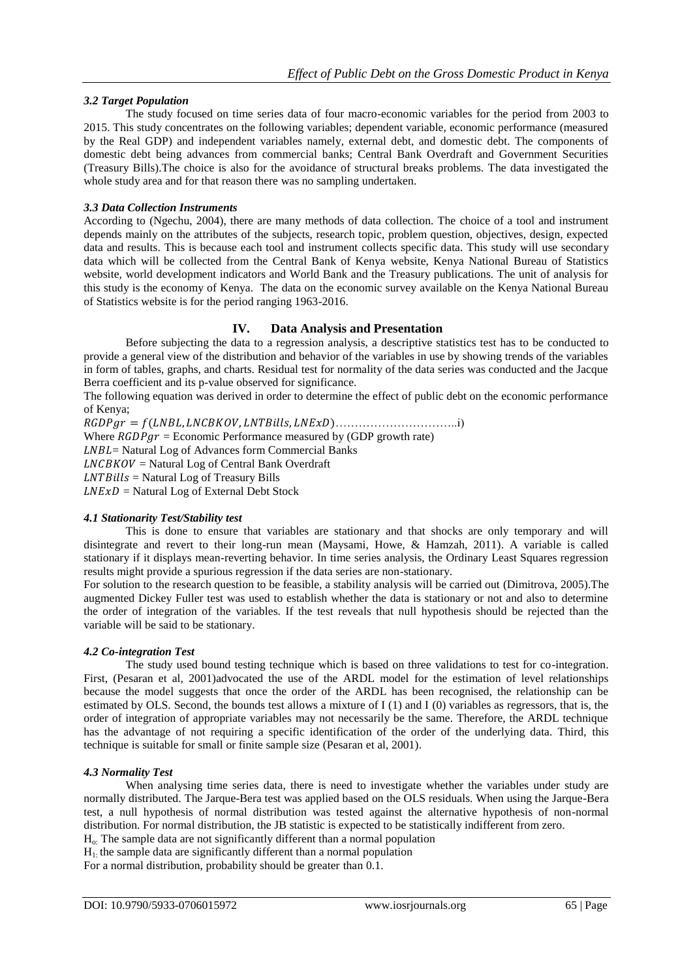# *3.2 Target Population*

The study focused on time series data of four macro-economic variables for the period from 2003 to 2015. This study concentrates on the following variables; dependent variable, economic performance (measured by the Real GDP) and independent variables namely, external debt, and domestic debt. The components of domestic debt being advances from commercial banks; Central Bank Overdraft and Government Securities (Treasury Bills).The choice is also for the avoidance of structural breaks problems. The data investigated the whole study area and for that reason there was no sampling undertaken.

## *3.3 Data Collection Instruments*

According to (Ngechu, 2004), there are many methods of data collection. The choice of a tool and instrument depends mainly on the attributes of the subjects, research topic, problem question, objectives, design, expected data and results. This is because each tool and instrument collects specific data. This study will use secondary data which will be collected from the Central Bank of Kenya website, Kenya National Bureau of Statistics website, world development indicators and World Bank and the Treasury publications. The unit of analysis for this study is the economy of Kenya. The data on the economic survey available on the Kenya National Bureau of Statistics website is for the period ranging 1963-2016.

# **IV. Data Analysis and Presentation**

Before subjecting the data to a regression analysis, a descriptive statistics test has to be conducted to provide a general view of the distribution and behavior of the variables in use by showing trends of the variables in form of tables, graphs, and charts. Residual test for normality of the data series was conducted and the Jacque Berra coefficient and its p-value observed for significance.

The following equation was derived in order to determine the effect of public debt on the economic performance of Kenya;

 = , , , …………………………..i) Where  $RGDPgr = Economic Performance$  measured by (GDP growth rate) LNBL= Natural Log of Advances form Commercial Banks  $LNCBKOV = Natural Log of Central Bank Overdraff$  $LNTBills = Natural Log of Treasury Bills$  $LNExD$  = Natural Log of External Debt Stock

#### *4.1 Stationarity Test/Stability test*

This is done to ensure that variables are stationary and that shocks are only temporary and will disintegrate and revert to their long-run mean (Maysami, Howe, & Hamzah, 2011). A variable is called stationary if it displays mean-reverting behavior. In time series analysis, the Ordinary Least Squares regression results might provide a spurious regression if the data series are non-stationary.

For solution to the research question to be feasible, a stability analysis will be carried out (Dimitrova, 2005).The augmented Dickey Fuller test was used to establish whether the data is stationary or not and also to determine the order of integration of the variables. If the test reveals that null hypothesis should be rejected than the variable will be said to be stationary.

#### *4.2 Co-integration Test*

The study used bound testing technique which is based on three validations to test for co-integration. First, (Pesaran et al, 2001)advocated the use of the ARDL model for the estimation of level relationships because the model suggests that once the order of the ARDL has been recognised, the relationship can be estimated by OLS. Second, the bounds test allows a mixture of I (1) and I (0) variables as regressors, that is, the order of integration of appropriate variables may not necessarily be the same. Therefore, the ARDL technique has the advantage of not requiring a specific identification of the order of the underlying data. Third, this technique is suitable for small or finite sample size (Pesaran et al, 2001).

#### *4.3 Normality Test*

When analysing time series data, there is need to investigate whether the variables under study are normally distributed. The Jarque-Bera test was applied based on the OLS residuals. When using the Jarque-Bera test, a null hypothesis of normal distribution was tested against the alternative hypothesis of non-normal distribution. For normal distribution, the JB statistic is expected to be statistically indifferent from zero.

Ho: The sample data are not significantly different than a normal population

 $H<sub>1</sub>$ : the sample data are significantly different than a normal population

For a normal distribution, probability should be greater than 0.1.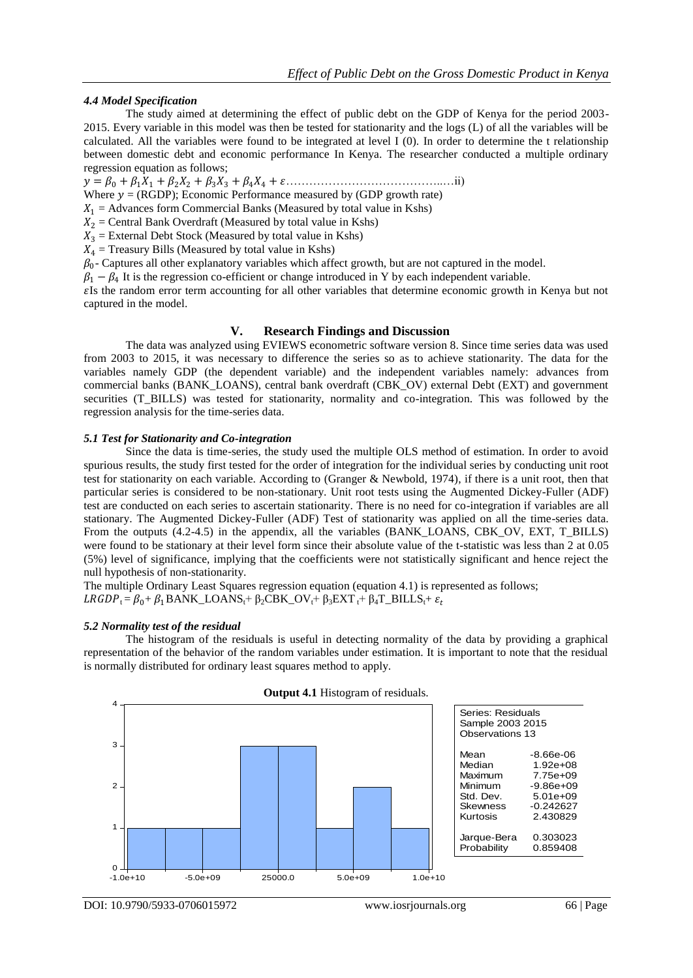## *4.4 Model Specification*

The study aimed at determining the effect of public debt on the GDP of Kenya for the period 2003- 2015. Every variable in this model was then be tested for stationarity and the logs (L) of all the variables will be calculated. All the variables were found to be integrated at level I (0). In order to determine the t relationship between domestic debt and economic performance In Kenya. The researcher conducted a multiple ordinary regression equation as follows;

= <sup>0</sup> +1<sup>1</sup> + 2<sup>2</sup> + 3<sup>3</sup> + 4<sup>4</sup> + …………………………………..…ii)

Where  $y = (RGDP)$ ; Economic Performance measured by (GDP growth rate)

 $X_1$  = Advances form Commercial Banks (Measured by total value in Kshs)

 $X_2$  = Central Bank Overdraft (Measured by total value in Kshs)

 $X_3$  = External Debt Stock (Measured by total value in Kshs)

 $X_4$  = Treasury Bills (Measured by total value in Kshs)

 $\beta_0$ - Captures all other explanatory variables which affect growth, but are not captured in the model.

 $\beta_1 - \beta_4$  It is the regression co-efficient or change introduced in Y by each independent variable.

Is the random error term accounting for all other variables that determine economic growth in Kenya but not captured in the model.

## **V. Research Findings and Discussion**

The data was analyzed using EVIEWS econometric software version 8. Since time series data was used from 2003 to 2015, it was necessary to difference the series so as to achieve stationarity. The data for the variables namely GDP (the dependent variable) and the independent variables namely: advances from commercial banks (BANK\_LOANS), central bank overdraft (CBK\_OV) external Debt (EXT) and government securities (T\_BILLS) was tested for stationarity, normality and co-integration. This was followed by the regression analysis for the time-series data.

#### *5.1 Test for Stationarity and Co-integration*

Since the data is time-series, the study used the multiple OLS method of estimation. In order to avoid spurious results, the study first tested for the order of integration for the individual series by conducting unit root test for stationarity on each variable. According to (Granger & Newbold, 1974), if there is a unit root, then that particular series is considered to be non-stationary. Unit root tests using the Augmented Dickey-Fuller (ADF) test are conducted on each series to ascertain stationarity. There is no need for co-integration if variables are all stationary. The Augmented Dickey-Fuller (ADF) Test of stationarity was applied on all the time-series data. From the outputs (4.2-4.5) in the appendix, all the variables (BANK\_LOANS, CBK\_OV, EXT, T\_BILLS) were found to be stationary at their level form since their absolute value of the t-statistic was less than 2 at 0.05 (5%) level of significance, implying that the coefficients were not statistically significant and hence reject the null hypothesis of non-stationarity.

The multiple Ordinary Least Squares regression equation (equation 4.1) is represented as follows;  $LRGDP_t = \beta_0 + \beta_1BANK\_LOANS_t + \beta_2CBK_OV_t + \beta_3EXT_t + \beta_4T_BILLS_t + \varepsilon_t$ 

#### *5.2 Normality test of the residual*

The histogram of the residuals is useful in detecting normality of the data by providing a graphical representation of the behavior of the random variables under estimation. It is important to note that the residual is normally distributed for ordinary least squares method to apply.



**Output 4.1** Histogram of residuals.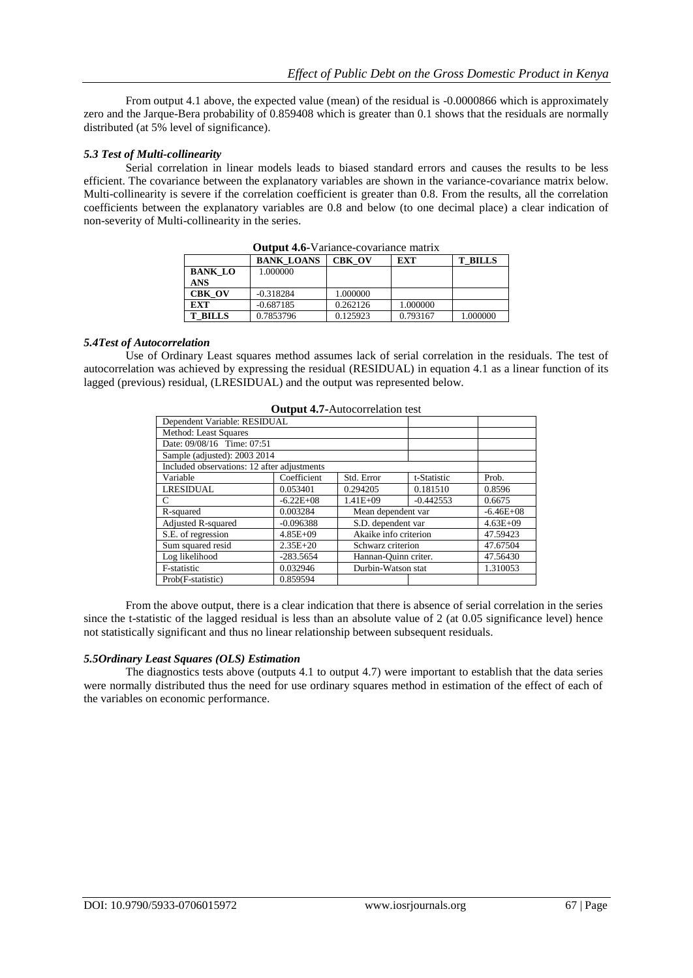From output 4.1 above, the expected value (mean) of the residual is -0.0000866 which is approximately zero and the Jarque-Bera probability of 0.859408 which is greater than 0.1 shows that the residuals are normally distributed (at 5% level of significance).

## *5.3 Test of Multi-collinearity*

Serial correlation in linear models leads to biased standard errors and causes the results to be less efficient. The covariance between the explanatory variables are shown in the variance-covariance matrix below. Multi-collinearity is severe if the correlation coefficient is greater than 0.8. From the results, all the correlation coefficients between the explanatory variables are 0.8 and below (to one decimal place) a clear indication of non-severity of Multi-collinearity in the series.

| <b>Output 7.0</b> Variance covariance matrix |                   |               |          |                |  |
|----------------------------------------------|-------------------|---------------|----------|----------------|--|
|                                              | <b>BANK LOANS</b> | <b>CBK OV</b> | EXT      | <b>T BILLS</b> |  |
| <b>BANK LO</b>                               | 1.000000          |               |          |                |  |
| <b>ANS</b>                                   |                   |               |          |                |  |
| <b>CBK OV</b>                                | $-0.318284$       | 1.000000      |          |                |  |
| <b>EXT</b>                                   | $-0.687185$       | 0.262126      | 1.000000 |                |  |
| <b>T BILLS</b>                               | 0.7853796         | 0.125923      | 0.793167 | 1.000000       |  |

**Output 4.6-**Variance-covariance matrix

#### *5.4Test of Autocorrelation*

Use of Ordinary Least squares method assumes lack of serial correlation in the residuals. The test of autocorrelation was achieved by expressing the residual (RESIDUAL) in equation 4.1 as a linear function of its lagged (previous) residual, (LRESIDUAL) and the output was represented below.

|                                             |               | $\sigma$ atpat $\pi$ , ratoconciation test |             |              |
|---------------------------------------------|---------------|--------------------------------------------|-------------|--------------|
| Dependent Variable: RESIDUAL                |               |                                            |             |              |
| Method: Least Squares                       |               |                                            |             |              |
| Date: 09/08/16 Time: 07:51                  |               |                                            |             |              |
| Sample (adjusted): 2003 2014                |               |                                            |             |              |
| Included observations: 12 after adjustments |               |                                            |             |              |
| Variable                                    | Coefficient   | Std. Error                                 | t-Statistic | Prob.        |
| <b>LRESIDUAL</b>                            | 0.053401      | 0.294205                                   | 0.181510    | 0.8596       |
| $\mathcal{C}$                               | $-6.22E + 08$ | $1.41E + 09$                               | $-0.442553$ | 0.6675       |
| 0.003284<br>Mean dependent var<br>R-squared |               |                                            |             | $-6.46E+08$  |
| <b>Adjusted R-squared</b>                   | $-0.096388$   | S.D. dependent var                         |             | $4.63E + 09$ |
| S.E. of regression                          | $4.85E + 09$  | Akaike info criterion                      |             | 47.59423     |
| Sum squared resid                           | $2.35E + 20$  | Schwarz criterion                          |             | 47.67504     |
| Log likelihood                              | $-283.5654$   | Hannan-Ouinn criter.                       |             | 47.56430     |
| F-statistic                                 | 0.032946      | Durbin-Watson stat                         |             | 1.310053     |
| Prob(F-statistic)                           | 0.859594      |                                            |             |              |

**Output 4.7-Autocorrelation test** 

From the above output, there is a clear indication that there is absence of serial correlation in the series since the t-statistic of the lagged residual is less than an absolute value of 2 (at 0.05 significance level) hence not statistically significant and thus no linear relationship between subsequent residuals.

#### *5.5Ordinary Least Squares (OLS) Estimation*

The diagnostics tests above (outputs 4.1 to output 4.7) were important to establish that the data series were normally distributed thus the need for use ordinary squares method in estimation of the effect of each of the variables on economic performance.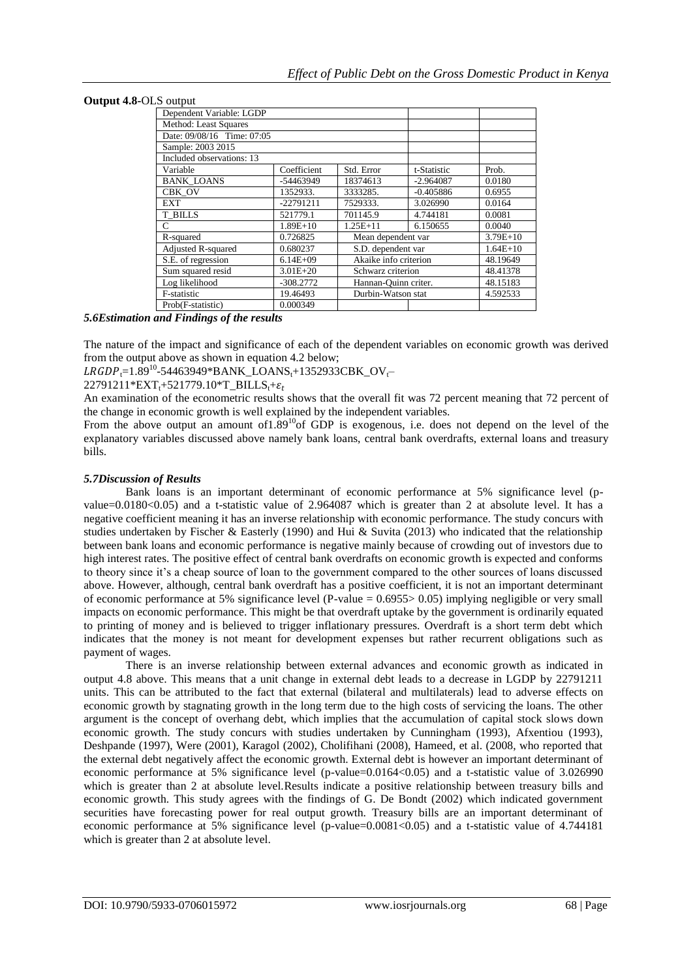#### **Output 4.8-**OLS output

| Dependent Variable: LGDP   |              |                       |             |            |
|----------------------------|--------------|-----------------------|-------------|------------|
| Method: Least Squares      |              |                       |             |            |
| Date: 09/08/16 Time: 07:05 |              |                       |             |            |
| Sample: 2003 2015          |              |                       |             |            |
| Included observations: 13  |              |                       |             |            |
| Variable                   | Coefficient  | Std. Error            | t-Statistic | Prob.      |
| <b>BANK LOANS</b>          | -54463949    | 18374613              | $-2.964087$ | 0.0180     |
| CBK OV                     | 1352933.     | 3333285.              | $-0.405886$ | 0.6955     |
| <b>EXT</b>                 | $-22791211$  | 7529333.              | 3.026990    | 0.0164     |
| <b>T BILLS</b>             | 521779.1     | 701145.9              | 4.744181    | 0.0081     |
| C                          | $1.89E+10$   | $1.25E + 11$          | 6.150655    | 0.0040     |
| R-squared                  | 0.726825     | Mean dependent var    |             | $3.79E+10$ |
| Adjusted R-squared         | 0.680237     | S.D. dependent var    |             | $1.64E+10$ |
| S.E. of regression         | $6.14E + 09$ | Akaike info criterion | 48.19649    |            |
| Sum squared resid          | $3.01E + 20$ | Schwarz criterion     | 48.41378    |            |
| Log likelihood             | $-308.2772$  | Hannan-Ouinn criter.  |             | 48.15183   |
| F-statistic                | 19.46493     | Durbin-Watson stat    |             | 4.592533   |
| Prob(F-statistic)          | 0.000349     |                       |             |            |

## *5.6Estimation and Findings of the results*

The nature of the impact and significance of each of the dependent variables on economic growth was derived from the output above as shown in equation 4.2 below;

 $LRGDP_r=1.89^{10}$ -54463949\*BANK\_LOANS<sub>t</sub>+1352933CBK\_OV<sub>t</sub>

 $22791211*EXT_{t}+521779.10*T_BILLS_{t}+\varepsilon_t$ 

An examination of the econometric results shows that the overall fit was 72 percent meaning that 72 percent of the change in economic growth is well explained by the independent variables.

From the above output an amount of  $1.89^{10}$  of GDP is exogenous, i.e. does not depend on the level of the explanatory variables discussed above namely bank loans, central bank overdrafts, external loans and treasury bills.

#### *5.7Discussion of Results*

Bank loans is an important determinant of economic performance at 5% significance level (pvalue=0.0180<0.05) and a t-statistic value of 2.964087 which is greater than 2 at absolute level. It has a negative coefficient meaning it has an inverse relationship with economic performance. The study concurs with studies undertaken by Fischer & Easterly (1990) and Hui & Suvita (2013) who indicated that the relationship between bank loans and economic performance is negative mainly because of crowding out of investors due to high interest rates. The positive effect of central bank overdrafts on economic growth is expected and conforms to theory since it"s a cheap source of loan to the government compared to the other sources of loans discussed above. However, although, central bank overdraft has a positive coefficient, it is not an important determinant of economic performance at 5% significance level (P-value = 0.6955> 0.05) implying negligible or very small impacts on economic performance. This might be that overdraft uptake by the government is ordinarily equated to printing of money and is believed to trigger inflationary pressures. Overdraft is a short term debt which indicates that the money is not meant for development expenses but rather recurrent obligations such as payment of wages.

There is an inverse relationship between external advances and economic growth as indicated in output 4.8 above. This means that a unit change in external debt leads to a decrease in LGDP by 22791211 units. This can be attributed to the fact that external (bilateral and multilaterals) lead to adverse effects on economic growth by stagnating growth in the long term due to the high costs of servicing the loans. The other argument is the concept of overhang debt, which implies that the accumulation of capital stock slows down economic growth. The study concurs with studies undertaken by Cunningham (1993), Afxentiou (1993), Deshpande (1997), Were (2001), Karagol (2002), Cholifihani (2008), Hameed, et al. (2008, who reported that the external debt negatively affect the economic growth. External debt is however an important determinant of economic performance at 5% significance level (p-value=0.0164<0.05) and a t-statistic value of 3.026990 which is greater than 2 at absolute level.Results indicate a positive relationship between treasury bills and economic growth. This study agrees with the findings of G. De Bondt (2002) which indicated government securities have forecasting power for real output growth. Treasury bills are an important determinant of economic performance at 5% significance level (p-value=0.0081<0.05) and a t-statistic value of 4.744181 which is greater than 2 at absolute level.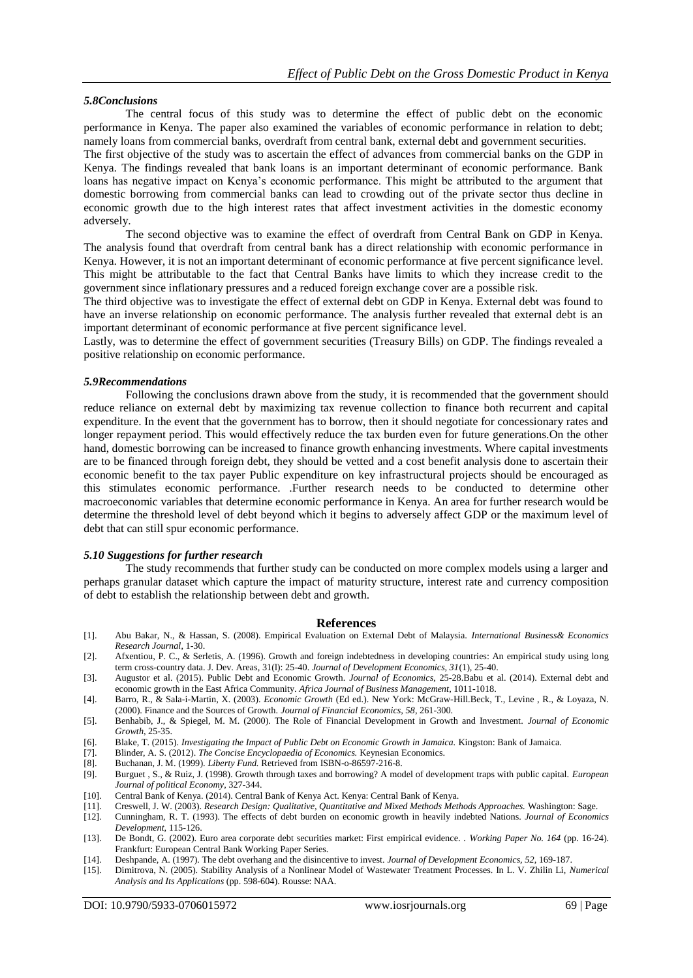#### *5.8Conclusions*

The central focus of this study was to determine the effect of public debt on the economic performance in Kenya. The paper also examined the variables of economic performance in relation to debt; namely loans from commercial banks, overdraft from central bank, external debt and government securities.

The first objective of the study was to ascertain the effect of advances from commercial banks on the GDP in Kenya. The findings revealed that bank loans is an important determinant of economic performance. Bank loans has negative impact on Kenya"s economic performance. This might be attributed to the argument that domestic borrowing from commercial banks can lead to crowding out of the private sector thus decline in economic growth due to the high interest rates that affect investment activities in the domestic economy adversely.

The second objective was to examine the effect of overdraft from Central Bank on GDP in Kenya. The analysis found that overdraft from central bank has a direct relationship with economic performance in Kenya. However, it is not an important determinant of economic performance at five percent significance level. This might be attributable to the fact that Central Banks have limits to which they increase credit to the government since inflationary pressures and a reduced foreign exchange cover are a possible risk.

The third objective was to investigate the effect of external debt on GDP in Kenya. External debt was found to have an inverse relationship on economic performance. The analysis further revealed that external debt is an important determinant of economic performance at five percent significance level.

Lastly, was to determine the effect of government securities (Treasury Bills) on GDP. The findings revealed a positive relationship on economic performance.

#### *5.9Recommendations*

Following the conclusions drawn above from the study, it is recommended that the government should reduce reliance on external debt by maximizing tax revenue collection to finance both recurrent and capital expenditure. In the event that the government has to borrow, then it should negotiate for concessionary rates and longer repayment period. This would effectively reduce the tax burden even for future generations.On the other hand, domestic borrowing can be increased to finance growth enhancing investments. Where capital investments are to be financed through foreign debt, they should be vetted and a cost benefit analysis done to ascertain their economic benefit to the tax payer Public expenditure on key infrastructural projects should be encouraged as this stimulates economic performance. .Further research needs to be conducted to determine other macroeconomic variables that determine economic performance in Kenya. An area for further research would be determine the threshold level of debt beyond which it begins to adversely affect GDP or the maximum level of debt that can still spur economic performance.

# *5.10 Suggestions for further research*

The study recommends that further study can be conducted on more complex models using a larger and perhaps granular dataset which capture the impact of maturity structure, interest rate and currency composition of debt to establish the relationship between debt and growth.

#### **References**

- [1]. Abu Bakar, N., & Hassan, S. (2008). Empirical Evaluation on External Debt of Malaysia. *International Business& Economics Research Journal*, 1-30.
- [2]. Afxentiou, P. C., & Serletis, A. (1996). Growth and foreign indebtedness in developing countries: An empirical study using long term cross-country data. J. Dev. Areas, 31(l): 25-40. *Journal of Development Economics, 31*(1), 25-40.
- [3]. Augustor et al. (2015). Public Debt and Economic Growth. *Journal of Economics*, 25-28.Babu et al. (2014). External debt and economic growth in the East Africa Community. *Africa Journal of Business Management*, 1011-1018.
- [4]. Barro, R., & Sala-i-Martin, X. (2003). *Economic Growth* (Ed ed.). New York: McGraw-Hill.Beck, T., Levine , R., & Loyaza, N. (2000). Finance and the Sources of Growth. *Journal of Financial Economics, 58*, 261-300.
- [5]. Benhabib, J., & Spiegel, M. M. (2000). The Role of Financial Development in Growth and Investment. *Journal of Economic Growth*, 25-35.
- [6]. Blake, T. (2015). *Investigating the Impact of Public Debt on Economic Growth in Jamaica.* Kingston: Bank of Jamaica.
- [7]. Blinder, A. S. (2012). *The Concise Encyclopaedia of Economics.* Keynesian Economics.
- [8]. Buchanan, J. M. (1999). *Liberty Fund.* Retrieved from ISBN-o-86597-216-8.
- [9]. Burguet , S., & Ruiz, J. (1998). Growth through taxes and borrowing? A model of development traps with public capital. *European Journal of political Economy*, 327-344.
- [10]. Central Bank of Kenya. (2014). Central Bank of Kenya Act. Kenya: Central Bank of Kenya.
- [11]. Creswell, J. W. (2003). *Research Design: Qualitative, Quantitative and Mixed Methods Methods Approaches.* Washington: Sage.
- [12]. Cunningham, R. T. (1993). The effects of debt burden on economic growth in heavily indebted Nations. *Journal of Economics Development*, 115-126.
- [13]. De Bondt, G. (2002). Euro area corporate debt securities market: First empirical evidence. . *Working Paper No. 164* (pp. 16-24). Frankfurt: European Central Bank Working Paper Series.
- [14]. Deshpande, A. (1997). The debt overhang and the disincentive to invest. *Journal of Development Economics, 52*, 169-187.
- [15]. Dimitrova, N. (2005). Stability Analysis of a Nonlinear Model of Wastewater Treatment Processes. In L. V. Zhilin Li, *Numerical Analysis and Its Applications* (pp. 598-604). Rousse: NAA.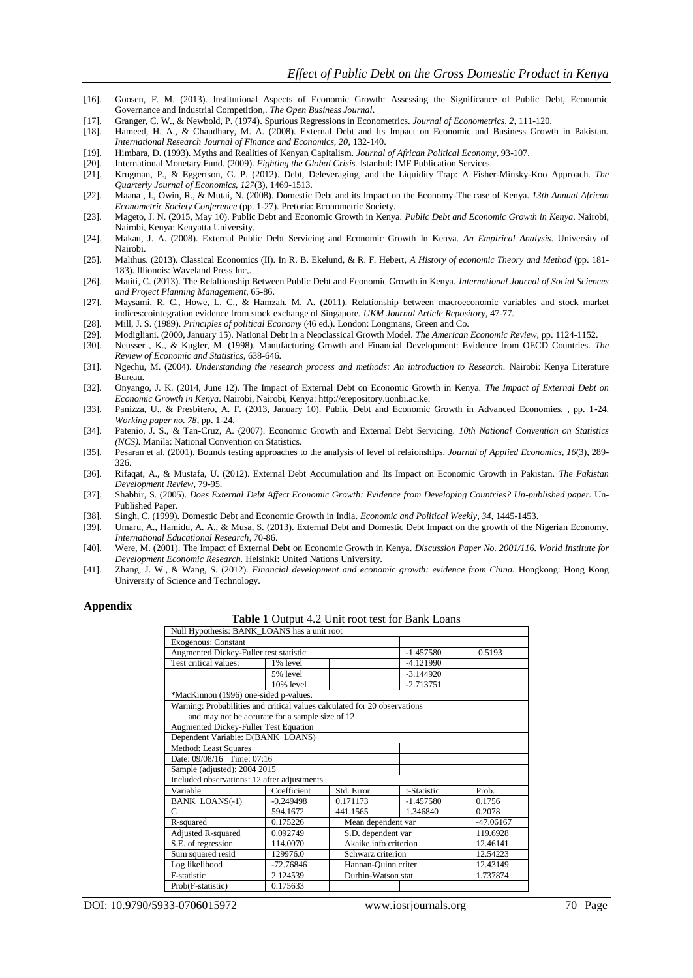- [16]. Goosen, F. M. (2013). Institutional Aspects of Economic Growth: Assessing the Significance of Public Debt, Economic Governance and Industrial Competition,. *The Open Business Journal*.
- [17]. Granger, C. W., & Newbold, P. (1974). Spurious Regressions in Econometrics. *Journal of Econometrics, 2*, 111-120.
- [18]. Hameed, H. A., & Chaudhary, M. A. (2008). External Debt and Its Impact on Economic and Business Growth in Pakistan. *International Research Journal of Finance and Economics, 20*, 132-140.
- [19]. Himbara, D. (1993). Myths and Realities of Kenyan Capitalism. *Journal of African Political Economy*, 93-107.
- [20]. International Monetary Fund. (2009). *Fighting the Global Crisis.* Istanbul: IMF Publication Services.
- [21]. Krugman, P., & Eggertson, G. P. (2012). Debt, Deleveraging, and the Liquidity Trap: A Fisher-Minsky-Koo Approach. *The Quarterly Journal of Economics, 127*(3), 1469-1513.
- [22]. Maana , I., Owin, R., & Mutai, N. (2008). Domestic Debt and its Impact on the Economy-The case of Kenya. *13th Annual African Econometric Society Conference* (pp. 1-27). Pretoria: Econometric Society.
- [23]. Mageto, J. N. (2015, May 10). Public Debt and Economic Growth in Kenya. *Public Debt and Economic Growth in Kenya*. Nairobi, Nairobi, Kenya: Kenyatta University.
- [24]. Makau, J. A. (2008). External Public Debt Servicing and Economic Growth In Kenya. *An Empirical Analysis*. University of Nairobi.
- [25]. Malthus. (2013). Classical Economics (II). In R. B. Ekelund, & R. F. Hebert, *A History of economic Theory and Method* (pp. 181- 183). Illionois: Waveland Press Inc,.
- [26]. Matiti, C. (2013). The Relaltionship Between Public Debt and Economic Growth in Kenya. *International Journal of Social Sciences and Project Planning Management*, 65-86.
- [27]. Maysami, R. C., Howe, L. C., & Hamzah, M. A. (2011). Relationship between macroeconomic variables and stock market indices:cointegration evidence from stock exchange of Singapore. *UKM Journal Article Repository*, 47-77.
- [28]. Mill, J. S. (1989). *Principles of political Economy* (46 ed.). London: Longmans, Green and Co.
- [29]. Modigliani. (2000, January 15). National Debt in a Neoclassical Growth Model. *The American Economic Review*, pp. 1124-1152.
- [30]. Neusser , K., & Kugler, M. (1998). Manufacturing Growth and Financial Development: Evidence from OECD Countries. *The Review of Economic and Statistics*, 638-646.
- [31]. Ngechu, M. (2004). *Understanding the research process and methods: An introduction to Research.* Nairobi: Kenya Literature Bureau.
- [32]. Onyango, J. K. (2014, June 12). The Impact of External Debt on Economic Growth in Kenya. *The Impact of External Debt on Economic Growth in Kenya*. Nairobi, Nairobi, Kenya: http://erepository.uonbi.ac.ke.
- [33]. Panizza, U., & Presbitero, A. F. (2013, January 10). Public Debt and Economic Growth in Advanced Economies. , pp. 1-24. *Working paper no. 78*, pp. 1-24.
- [34]. Patenio, J. S., & Tan-Cruz, A. (2007). Economic Growth and External Debt Servicing. *10th National Convention on Statistics (NCS).* Manila: National Convention on Statistics.
- [35]. Pesaran et al. (2001). Bounds testing approaches to the analysis of level of relaionships. *Journal of Applied Economics, 16*(3), 289- 326.
- [36]. Rifaqat, A., & Mustafa, U. (2012). External Debt Accumulation and Its Impact on Economic Growth in Pakistan. *The Pakistan Development Review*, 79-95.
- [37]. Shabbir, S. (2005). *Does External Debt Affect Economic Growth: Evidence from Developing Countries? Un-published paper.* Un-Published Paper.
- [38]. Singh, C. (1999). Domestic Debt and Economic Growth in India. *Economic and Political Weekly, 34*, 1445-1453.
- [39]. Umaru, A., Hamidu, A. A., & Musa, S. (2013). External Debt and Domestic Debt Impact on the growth of the Nigerian Economy. *International Educational Research*, 70-86.
- [40]. Were, M. (2001). The Impact of External Debt on Economic Growth in Kenya. *Discussion Paper No. 2001/116. World Institute for Development Economic Research.* Helsinki: United Nations University.
- [41]. Zhang, J. W., & Wang, S. (2012). *Financial development and economic growth: evidence from China.* Hongkong: Hong Kong University of Science and Technology.

#### **Appendix**

**Table 1** Output 4.2 Unit root test for Bank Loans

|                                                                           |                                     | <b>Table 1</b> Datpart $\mathbb{R}^2$ effect for the Bank Bo |             |             |
|---------------------------------------------------------------------------|-------------------------------------|--------------------------------------------------------------|-------------|-------------|
| Null Hypothesis: BANK_LOANS has a unit root                               |                                     |                                                              |             |             |
| <b>Exogenous: Constant</b>                                                |                                     |                                                              |             |             |
| Augmented Dickey-Fuller test statistic                                    |                                     |                                                              | $-1.457580$ | 0.5193      |
| Test critical values:                                                     | 1% level                            |                                                              | $-4.121990$ |             |
|                                                                           | 5% level                            |                                                              | $-3.144920$ |             |
|                                                                           | $10%$ level                         |                                                              | $-2.713751$ |             |
| *MacKinnon (1996) one-sided p-values.                                     |                                     |                                                              |             |             |
| Warning: Probabilities and critical values calculated for 20 observations |                                     |                                                              |             |             |
| and may not be accurate for a sample size of 12                           |                                     |                                                              |             |             |
| <b>Augmented Dickey-Fuller Test Equation</b>                              |                                     |                                                              |             |             |
| Dependent Variable: D(BANK_LOANS)                                         |                                     |                                                              |             |             |
| Method: Least Squares                                                     |                                     |                                                              |             |             |
| Date: 09/08/16 Time: 07:16                                                |                                     |                                                              |             |             |
| Sample (adjusted): 2004 2015                                              |                                     |                                                              |             |             |
| Included observations: 12 after adjustments                               |                                     |                                                              |             |             |
| Variable                                                                  | Coefficient                         | Std. Error                                                   | t-Statistic | Prob.       |
| <b>BANK LOANS(-1)</b>                                                     | $-0.249498$                         | 0.171173                                                     | $-1.457580$ | 0.1756      |
| C                                                                         | 594.1672                            | 441.1565                                                     | 1.346840    | 0.2078      |
| R-squared                                                                 | Mean dependent var<br>0.175226      |                                                              |             | $-47.06167$ |
| Adjusted R-squared                                                        | 0.092749                            | S.D. dependent var                                           |             | 119.6928    |
| S.E. of regression                                                        | 114.0070                            | Akaike info criterion                                        |             | 12.46141    |
| Sum squared resid                                                         | 129976.0                            | Schwarz criterion                                            |             | 12.54223    |
| Log likelihood                                                            | Hannan-Quinn criter.<br>$-72.76846$ |                                                              |             | 12.43149    |
| F-statistic                                                               | 2.124539                            | Durbin-Watson stat                                           |             | 1.737874    |
| Prob(F-statistic)                                                         | 0.175633                            |                                                              |             |             |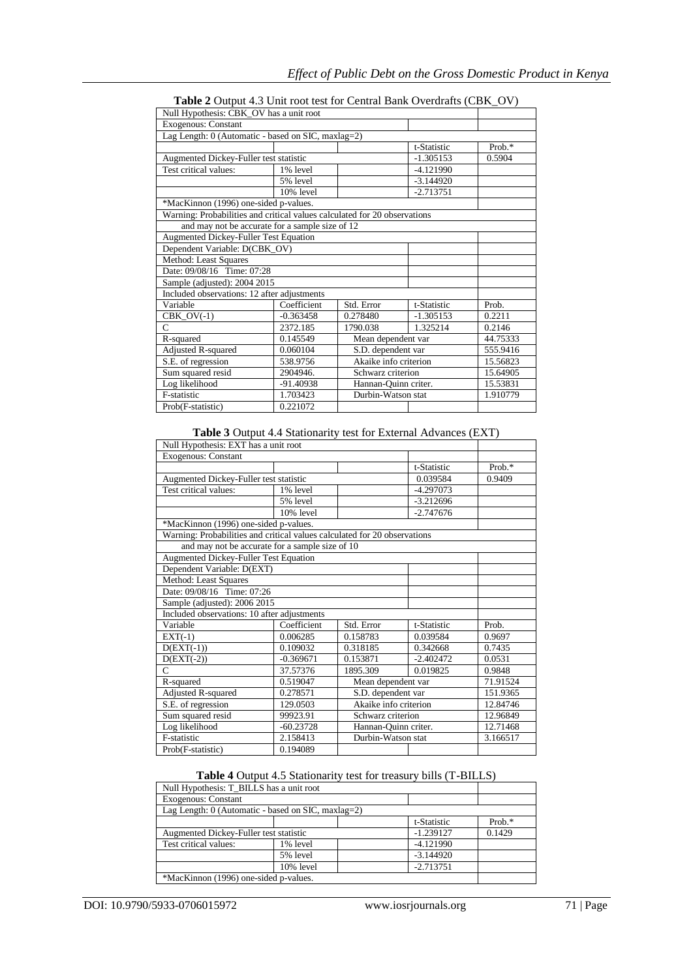| Null Hypothesis: CBK_OV has a unit root                                   |                                |                       |             |          |
|---------------------------------------------------------------------------|--------------------------------|-----------------------|-------------|----------|
| <b>Exogenous: Constant</b>                                                |                                |                       |             |          |
| Lag Length: 0 (Automatic - based on SIC, maxlag=2)                        |                                |                       |             |          |
|                                                                           |                                |                       | t-Statistic | Prob.*   |
| Augmented Dickey-Fuller test statistic                                    |                                |                       | $-1.305153$ | 0.5904   |
| Test critical values:                                                     | 1% level                       |                       | $-4.121990$ |          |
|                                                                           | 5% level                       |                       | $-3.144920$ |          |
|                                                                           | $10%$ level                    |                       | $-2.713751$ |          |
| *MacKinnon (1996) one-sided p-values.                                     |                                |                       |             |          |
| Warning: Probabilities and critical values calculated for 20 observations |                                |                       |             |          |
| and may not be accurate for a sample size of 12                           |                                |                       |             |          |
| <b>Augmented Dickey-Fuller Test Equation</b>                              |                                |                       |             |          |
| Dependent Variable: D(CBK_OV)                                             |                                |                       |             |          |
| Method: Least Squares                                                     |                                |                       |             |          |
| Date: 09/08/16 Time: 07:28                                                |                                |                       |             |          |
| Sample (adjusted): 2004 2015                                              |                                |                       |             |          |
| Included observations: 12 after adjustments                               |                                |                       |             |          |
| Variable                                                                  | Coefficient                    | Std. Error            | t-Statistic | Prob.    |
| $CBK_OV(-1)$                                                              | $-0.363458$                    | 0.278480              | $-1.305153$ | 0.2211   |
| $\mathsf{C}$                                                              | 2372.185                       | 1790.038              | 1.325214    | 0.2146   |
| 0.145549<br>Mean dependent var<br>R-squared                               |                                |                       |             | 44.75333 |
| Adjusted R-squared                                                        | S.D. dependent var<br>0.060104 |                       |             | 555.9416 |
| S.E. of regression                                                        | 538.9756                       | Akaike info criterion |             |          |
| Sum squared resid                                                         | 2904946.<br>Schwarz criterion  |                       |             | 15.64905 |
| Log likelihood                                                            | -91.40938                      | Hannan-Quinn criter.  |             | 15.53831 |
| F-statistic                                                               | 1.703423<br>Durbin-Watson stat |                       |             | 1.910779 |
| 0.221072<br>Prob(F-statistic)                                             |                                |                       |             |          |

# **Table 2** Output 4.3 Unit root test for Central Bank Overdrafts (CBK\_OV)

**Table 3** Output 4.4 Stationarity test for External Advances (EXT)

| Null Hypothesis: EXT has a unit root                                      |                                |                       |             |          |
|---------------------------------------------------------------------------|--------------------------------|-----------------------|-------------|----------|
| Exogenous: Constant                                                       |                                |                       |             |          |
|                                                                           |                                |                       | t-Statistic | Prob.*   |
| Augmented Dickey-Fuller test statistic                                    |                                |                       | 0.039584    | 0.9409   |
| Test critical values:                                                     | 1% level                       |                       | $-4.297073$ |          |
|                                                                           | 5% level                       |                       | $-3.212696$ |          |
|                                                                           | 10% level                      |                       | $-2.747676$ |          |
| *MacKinnon (1996) one-sided p-values.                                     |                                |                       |             |          |
| Warning: Probabilities and critical values calculated for 20 observations |                                |                       |             |          |
| and may not be accurate for a sample size of 10                           |                                |                       |             |          |
| Augmented Dickey-Fuller Test Equation                                     |                                |                       |             |          |
| Dependent Variable: D(EXT)                                                |                                |                       |             |          |
| Method: Least Squares                                                     |                                |                       |             |          |
| Date: 09/08/16 Time: 07:26                                                |                                |                       |             |          |
| Sample (adjusted): 2006 2015                                              |                                |                       |             |          |
| Included observations: 10 after adjustments                               |                                |                       |             |          |
| Variable                                                                  | Coefficient                    | Std. Error            | t-Statistic | Prob.    |
| $EXT(-1)$                                                                 | 0.006285                       | 0.158783              | 0.039584    | 0.9697   |
| $D(EXT(-1))$                                                              | 0.109032                       | 0.318185              | 0.342668    | 0.7435   |
| $D(EXT(-2))$                                                              | $-0.369671$                    | 0.153871              | $-2.402472$ | 0.0531   |
| C                                                                         | 37.57376                       | 1895.309              | 0.019825    | 0.9848   |
| R-squared                                                                 | Mean dependent var<br>0.519047 |                       |             | 71.91524 |
| Adjusted R-squared                                                        | 0.278571                       | S.D. dependent var    |             | 151.9365 |
| S.E. of regression                                                        | 129.0503                       | Akaike info criterion |             | 12.84746 |
| Sum squared resid                                                         | 99923.91                       | Schwarz criterion     |             | 12.96849 |
| Log likelihood                                                            | $-60.23728$                    | Hannan-Ouinn criter.  |             | 12.71468 |
| F-statistic                                                               | 2.158413                       | Durbin-Watson stat    |             | 3.166517 |
| Prob(F-statistic)                                                         | 0.194089                       |                       |             |          |

## **Table 4** Output 4.5 Stationarity test for treasury bills (T-BILLS)

| Null Hypothesis: T_BILLS has a unit root           |             |             |        |  |  |  |
|----------------------------------------------------|-------------|-------------|--------|--|--|--|
| <b>Exogenous: Constant</b>                         |             |             |        |  |  |  |
| Lag Length: 0 (Automatic - based on SIC, maxlag=2) |             |             |        |  |  |  |
|                                                    |             | t-Statistic | Prob.* |  |  |  |
| Augmented Dickey-Fuller test statistic             | $-1.239127$ | 0.1429      |        |  |  |  |
| Test critical values:                              | 1% level    | $-4.121990$ |        |  |  |  |
|                                                    | 5% level    | $-3.144920$ |        |  |  |  |
|                                                    | 10% level   | $-2.713751$ |        |  |  |  |
| *MacKinnon (1996) one-sided p-values.              |             |             |        |  |  |  |